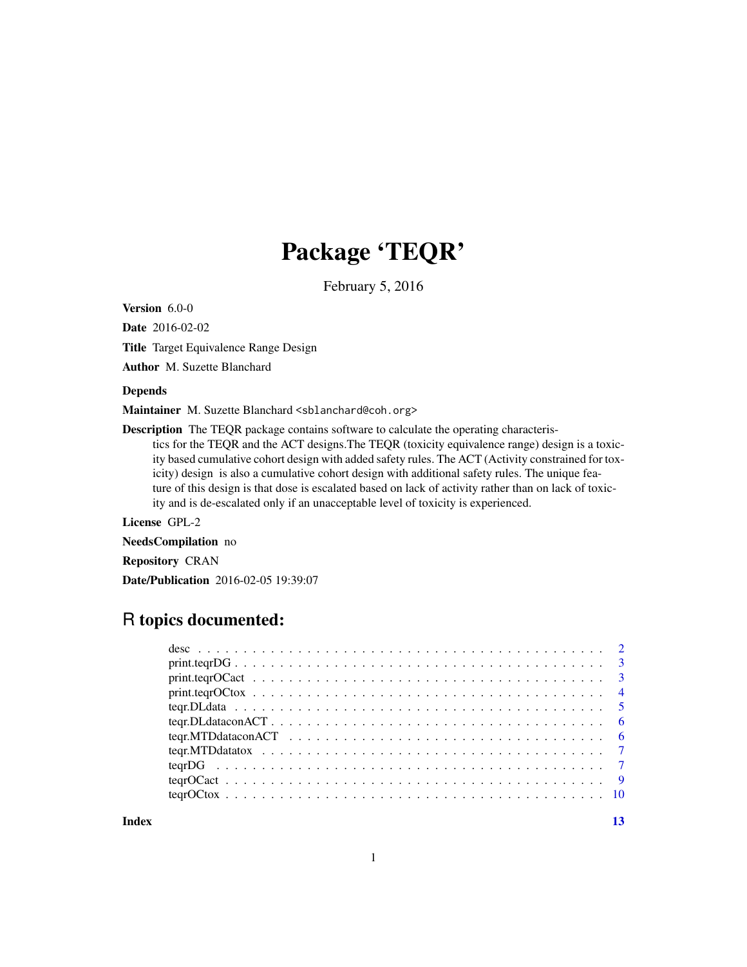## Package 'TEQR'

February 5, 2016

Version 6.0-0

Date 2016-02-02

Title Target Equivalence Range Design

Author M. Suzette Blanchard

#### Depends

Maintainer M. Suzette Blanchard <sblanchard@coh.org>

Description The TEQR package contains software to calculate the operating characteristics for the TEQR and the ACT designs.The TEQR (toxicity equivalence range) design is a toxicity based cumulative cohort design with added safety rules. The ACT (Activity constrained for toxicity) design is also a cumulative cohort design with additional safety rules. The unique feature of this design is that dose is escalated based on lack of activity rather than on lack of toxicity and is de-escalated only if an unacceptable level of toxicity is experienced.

License GPL-2

NeedsCompilation no

Repository CRAN

Date/Publication 2016-02-05 19:39:07

### R topics documented:

| $print \text{.} \text{1} \text{.} \text{1} \text{.} \text{1} \text{.} \text{1} \text{.} \text{1} \text{.} \text{1} \text{.} \text{1} \text{.} \text{1} \text{.} \text{1} \text{.} \text{1} \text{.} \text{1} \text{.} \text{1} \text{.} \text{1} \text{.} \text{1} \text{.} \text{1} \text{.} \text{1} \text{.} \text{1} \text{.} \text{1} \text{.} \text{1} \text{.} \text{1} \text{.} \text{1} \text{.} \text{1$ |  |
|--------------------------------------------------------------------------------------------------------------------------------------------------------------------------------------------------------------------------------------------------------------------------------------------------------------------------------------------------------------------------------------------------------------------|--|
|                                                                                                                                                                                                                                                                                                                                                                                                                    |  |
| $print \text{.} \qquad 4$                                                                                                                                                                                                                                                                                                                                                                                          |  |
|                                                                                                                                                                                                                                                                                                                                                                                                                    |  |
|                                                                                                                                                                                                                                                                                                                                                                                                                    |  |
|                                                                                                                                                                                                                                                                                                                                                                                                                    |  |
|                                                                                                                                                                                                                                                                                                                                                                                                                    |  |
|                                                                                                                                                                                                                                                                                                                                                                                                                    |  |
|                                                                                                                                                                                                                                                                                                                                                                                                                    |  |
|                                                                                                                                                                                                                                                                                                                                                                                                                    |  |
|                                                                                                                                                                                                                                                                                                                                                                                                                    |  |

**Index** [13](#page-12-0)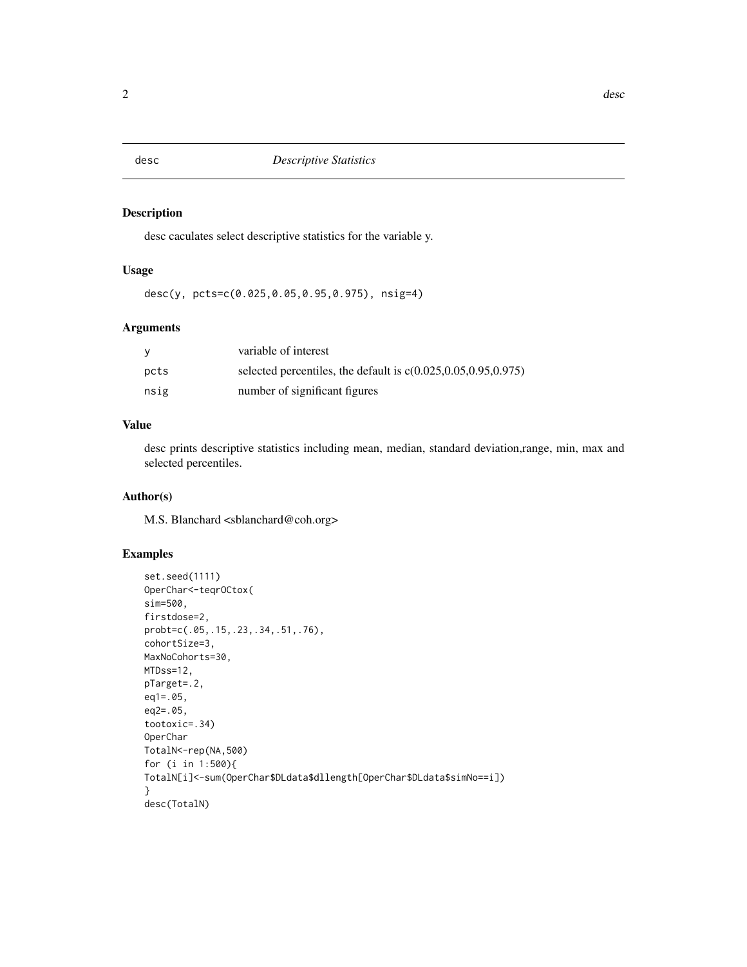<span id="page-1-0"></span>

#### Description

desc caculates select descriptive statistics for the variable y.

#### Usage

desc(y, pcts=c(0.025,0.05,0.95,0.975), nsig=4)

#### Arguments

|      | variable of interest                                               |
|------|--------------------------------------------------------------------|
| pcts | selected percentiles, the default is $c(0.025, 0.05, 0.95, 0.975)$ |
| nsig | number of significant figures                                      |

#### Value

desc prints descriptive statistics including mean, median, standard deviation,range, min, max and selected percentiles.

#### Author(s)

M.S. Blanchard <sblanchard@coh.org>

#### Examples

```
set.seed(1111)
OperChar<-teqrOCtox(
sim=500,
firstdose=2,
probt=c(.05,.15,.23,.34,.51,.76),
cohortSize=3,
MaxNoCohorts=30,
MTDss=12,
pTarget=.2,
eq1=.05,
eq2=.05,
tootoxic=.34)
OperChar
TotalN<-rep(NA,500)
for (i in 1:500){
TotalN[i]<-sum(OperChar$DLdata$dllength[OperChar$DLdata$simNo==i])
}
desc(TotalN)
```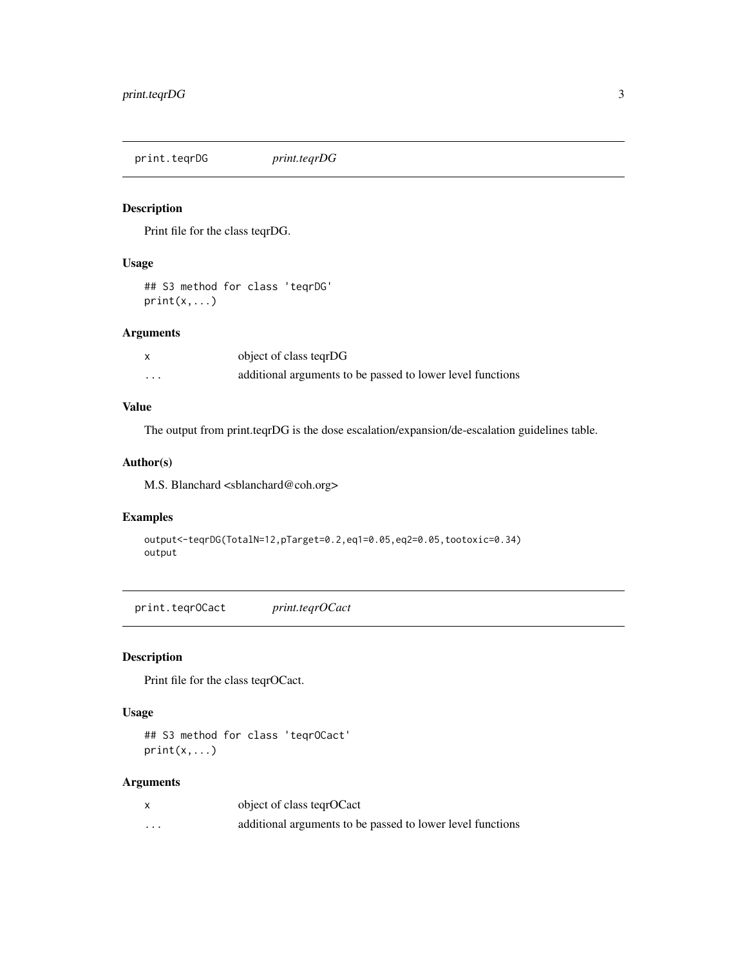<span id="page-2-0"></span>print.teqrDG *print.teqrDG*

#### Description

Print file for the class teqrDG.

#### Usage

## S3 method for class 'teqrDG' print(x,...)

#### Arguments

|   | object of class tegrDG                                     |
|---|------------------------------------------------------------|
| . | additional arguments to be passed to lower level functions |

#### Value

The output from print.teqrDG is the dose escalation/expansion/de-escalation guidelines table.

#### Author(s)

M.S. Blanchard <sblanchard@coh.org>

#### Examples

```
output<-teqrDG(TotalN=12,pTarget=0.2,eq1=0.05,eq2=0.05,tootoxic=0.34)
output
```
print.teqrOCact *print.teqrOCact*

#### Description

Print file for the class teqrOCact.

#### Usage

```
## S3 method for class 'teqrOCact'
print(x, \ldots)
```
#### Arguments

|          | object of class teqrOCact                                  |
|----------|------------------------------------------------------------|
| $\cdots$ | additional arguments to be passed to lower level functions |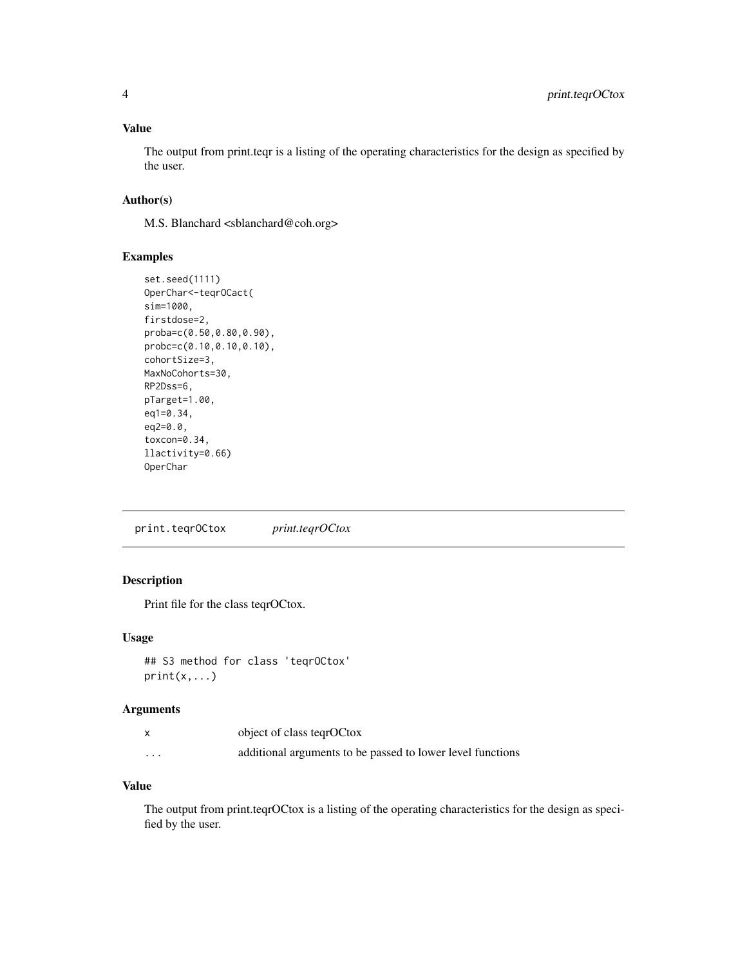#### <span id="page-3-0"></span>Value

The output from print.teqr is a listing of the operating characteristics for the design as specified by the user.

#### Author(s)

M.S. Blanchard <sblanchard@coh.org>

#### Examples

```
set.seed(1111)
OperChar<-teqrOCact(
sim=1000,
firstdose=2,
proba=c(0.50,0.80,0.90),
probc=c(0.10,0.10,0.10),
cohortSize=3,
MaxNoCohorts=30,
RP2Dss=6,
pTarget=1.00,
eq1=0.34,
eq2=0.0,
toxcon=0.34,
llactivity=0.66)
OperChar
```
print.teqrOCtox *print.teqrOCtox*

#### Description

Print file for the class teqrOCtox.

#### Usage

```
## S3 method for class 'teqrOCtox'
print(x,...)
```
#### Arguments

|          | object of class tegrOCtox                                  |
|----------|------------------------------------------------------------|
| $\cdots$ | additional arguments to be passed to lower level functions |

#### Value

The output from print.teqrOCtox is a listing of the operating characteristics for the design as specified by the user.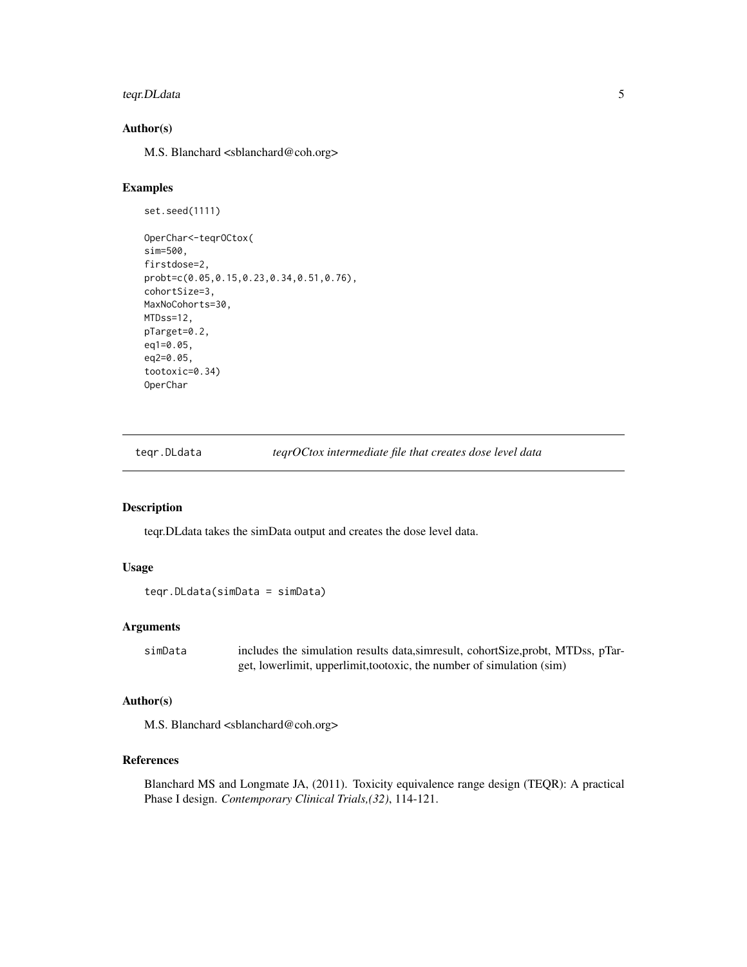#### <span id="page-4-0"></span>teqr.DLdata 5

#### Author(s)

M.S. Blanchard <sblanchard@coh.org>

#### Examples

```
set.seed(1111)
OperChar<-teqrOCtox(
sim=500,
firstdose=2,
probt=c(0.05,0.15,0.23,0.34,0.51,0.76),
cohortSize=3,
MaxNoCohorts=30,
MTDss=12,
pTarget=0.2,
eq1=0.05,
eq2=0.05,
tootoxic=0.34)
OperChar
```
teqr.DLdata *teqrOCtox intermediate file that creates dose level data*

#### Description

teqr.DLdata takes the simData output and creates the dose level data.

#### Usage

```
teqr.DLdata(simData = simData)
```
#### Arguments

simData includes the simulation results data,simresult, cohortSize,probt, MTDss, pTarget, lowerlimit, upperlimit,tootoxic, the number of simulation (sim)

#### Author(s)

M.S. Blanchard <sblanchard@coh.org>

#### References

Blanchard MS and Longmate JA, (2011). Toxicity equivalence range design (TEQR): A practical Phase I design. *Contemporary Clinical Trials,(32)*, 114-121.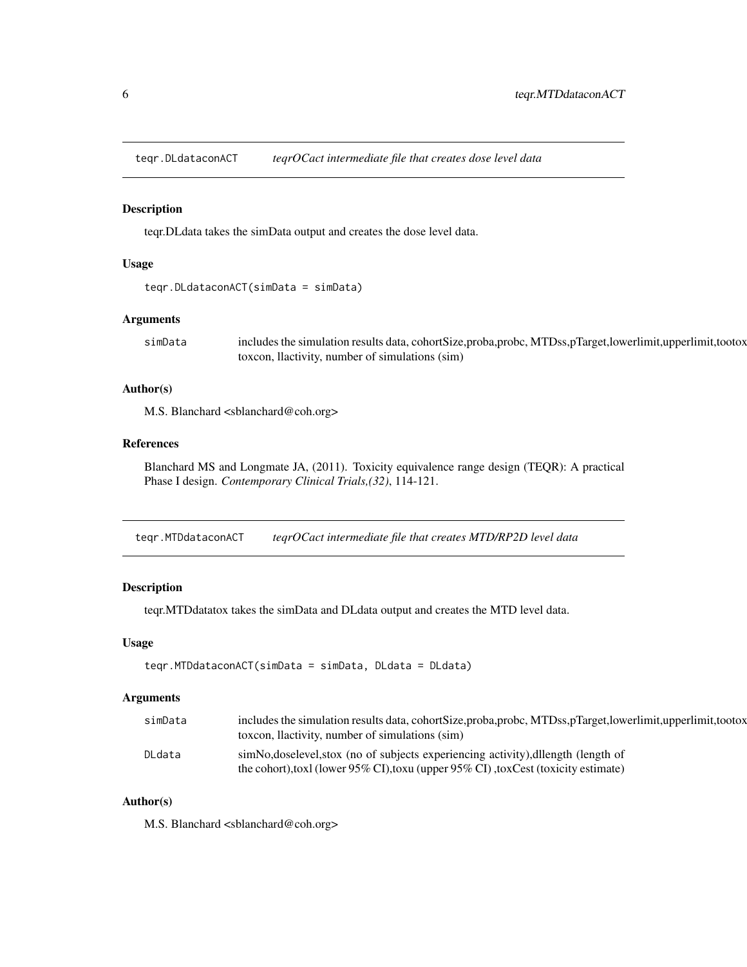<span id="page-5-0"></span>teqr.DLdataconACT *teqrOCact intermediate file that creates dose level data*

#### Description

teqr.DLdata takes the simData output and creates the dose level data.

#### Usage

```
teqr.DLdataconACT(simData = simData)
```
#### Arguments

simData includes the simulation results data, cohortSize,proba,probc, MTDss,pTarget,lowerlimit,upperlimit,tootox toxcon, llactivity, number of simulations (sim)

#### Author(s)

M.S. Blanchard <sblanchard@coh.org>

#### References

Blanchard MS and Longmate JA, (2011). Toxicity equivalence range design (TEQR): A practical Phase I design. *Contemporary Clinical Trials,(32)*, 114-121.

teqr.MTDdataconACT *teqrOCact intermediate file that creates MTD/RP2D level data*

#### Description

teqr.MTDdatatox takes the simData and DLdata output and creates the MTD level data.

#### Usage

```
teqr.MTDdataconACT(simData = simData, DLdata = DLdata)
```
#### Arguments

| simData | includes the simulation results data, cohortSize, proba, probc, MTDss, pTarget, lowerlimit, upperlimit, tootox<br>toxcon, llactivity, number of simulations (sim)        |
|---------|--------------------------------------------------------------------------------------------------------------------------------------------------------------------------|
| DLdata  | simNo, doselevel, stox (no of subjects experiencing activity), dllength (length of<br>the cohort), toxl (lower 95% CI), toxu (upper 95% CI), toxCest (toxicity estimate) |

#### Author(s)

M.S. Blanchard <sblanchard@coh.org>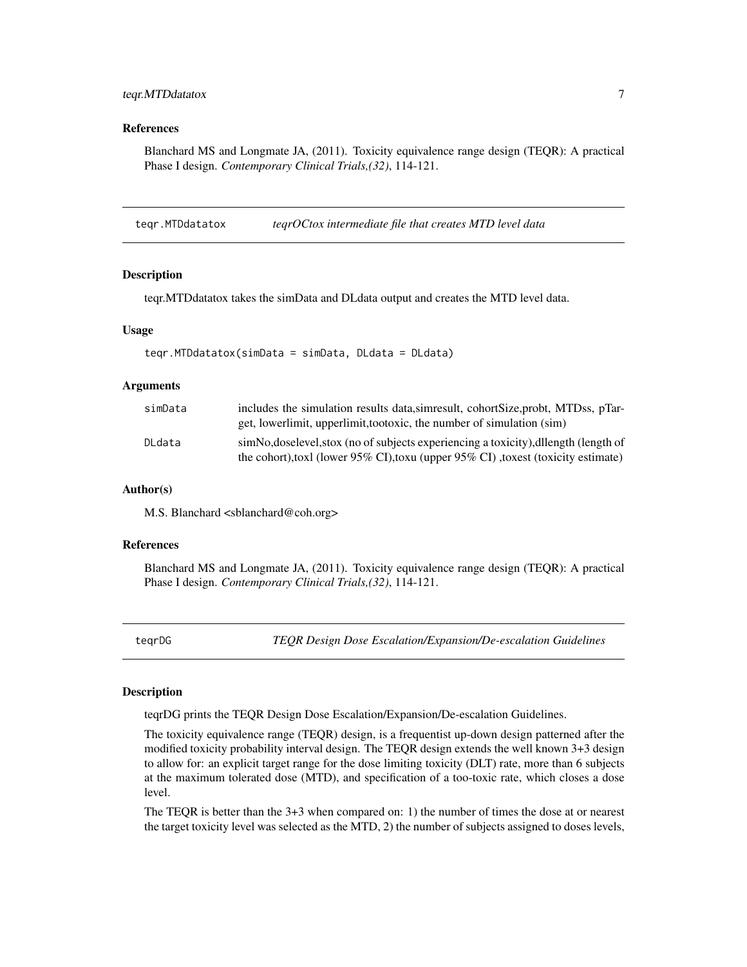#### <span id="page-6-0"></span>teqr.MTDdatatox 7

#### References

Blanchard MS and Longmate JA, (2011). Toxicity equivalence range design (TEQR): A practical Phase I design. *Contemporary Clinical Trials,(32)*, 114-121.

teqr.MTDdatatox *teqrOCtox intermediate file that creates MTD level data*

#### **Description**

teqr.MTDdatatox takes the simData and DLdata output and creates the MTD level data.

#### Usage

```
teqr.MTDdatatox(simData = simData, DLdata = DLdata)
```
#### Arguments

| simData | includes the simulation results data, simmes ult, cohortSize, probt, MTDss, pTar-<br>get, lowerlimit, upperlimit, tootoxic, the number of simulation (sim)                     |
|---------|--------------------------------------------------------------------------------------------------------------------------------------------------------------------------------|
| DLdata  | simNo, doselevel, stox (no of subjects experiencing a toxicity), dllength (length of<br>the cohort), toxil (lower 95% CI), toxil (upper $95\%$ CI), toxist (toxicity estimate) |

#### Author(s)

M.S. Blanchard <sblanchard@coh.org>

#### References

Blanchard MS and Longmate JA, (2011). Toxicity equivalence range design (TEQR): A practical Phase I design. *Contemporary Clinical Trials,(32)*, 114-121.

teqrDG *TEQR Design Dose Escalation/Expansion/De-escalation Guidelines*

#### Description

teqrDG prints the TEQR Design Dose Escalation/Expansion/De-escalation Guidelines.

The toxicity equivalence range (TEQR) design, is a frequentist up-down design patterned after the modified toxicity probability interval design. The TEQR design extends the well known 3+3 design to allow for: an explicit target range for the dose limiting toxicity (DLT) rate, more than 6 subjects at the maximum tolerated dose (MTD), and specification of a too-toxic rate, which closes a dose level.

The TEQR is better than the 3+3 when compared on: 1) the number of times the dose at or nearest the target toxicity level was selected as the MTD, 2) the number of subjects assigned to doses levels,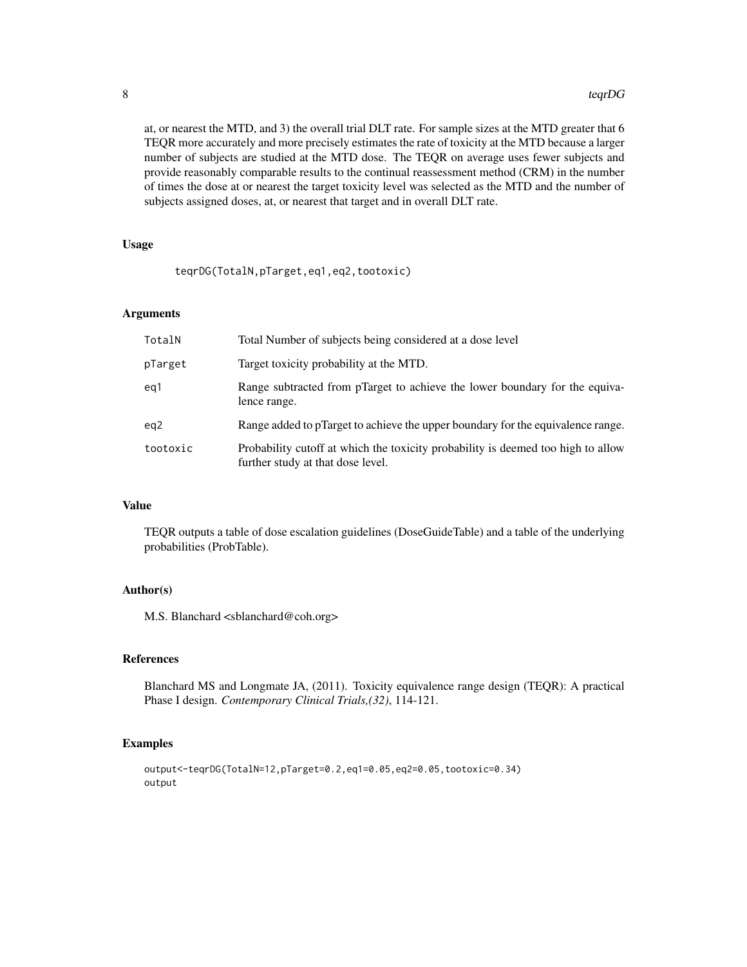at, or nearest the MTD, and 3) the overall trial DLT rate. For sample sizes at the MTD greater that 6 TEQR more accurately and more precisely estimates the rate of toxicity at the MTD because a larger number of subjects are studied at the MTD dose. The TEQR on average uses fewer subjects and provide reasonably comparable results to the continual reassessment method (CRM) in the number of times the dose at or nearest the target toxicity level was selected as the MTD and the number of subjects assigned doses, at, or nearest that target and in overall DLT rate.

#### Usage

teqrDG(TotalN,pTarget,eq1,eq2,tootoxic)

#### Arguments

| TotalN   | Total Number of subjects being considered at a dose level                                                             |
|----------|-----------------------------------------------------------------------------------------------------------------------|
| pTarget  | Target toxicity probability at the MTD.                                                                               |
| ea1      | Range subtracted from pTarget to achieve the lower boundary for the equiva-<br>lence range.                           |
| eg2      | Range added to pTarget to achieve the upper boundary for the equivalence range.                                       |
| tootoxic | Probability cutoff at which the toxicity probability is deemed too high to allow<br>further study at that dose level. |

#### Value

TEQR outputs a table of dose escalation guidelines (DoseGuideTable) and a table of the underlying probabilities (ProbTable).

#### Author(s)

M.S. Blanchard <sblanchard@coh.org>

#### References

Blanchard MS and Longmate JA, (2011). Toxicity equivalence range design (TEQR): A practical Phase I design. *Contemporary Clinical Trials,(32)*, 114-121.

#### Examples

```
output<-teqrDG(TotalN=12,pTarget=0.2,eq1=0.05,eq2=0.05,tootoxic=0.34)
output
```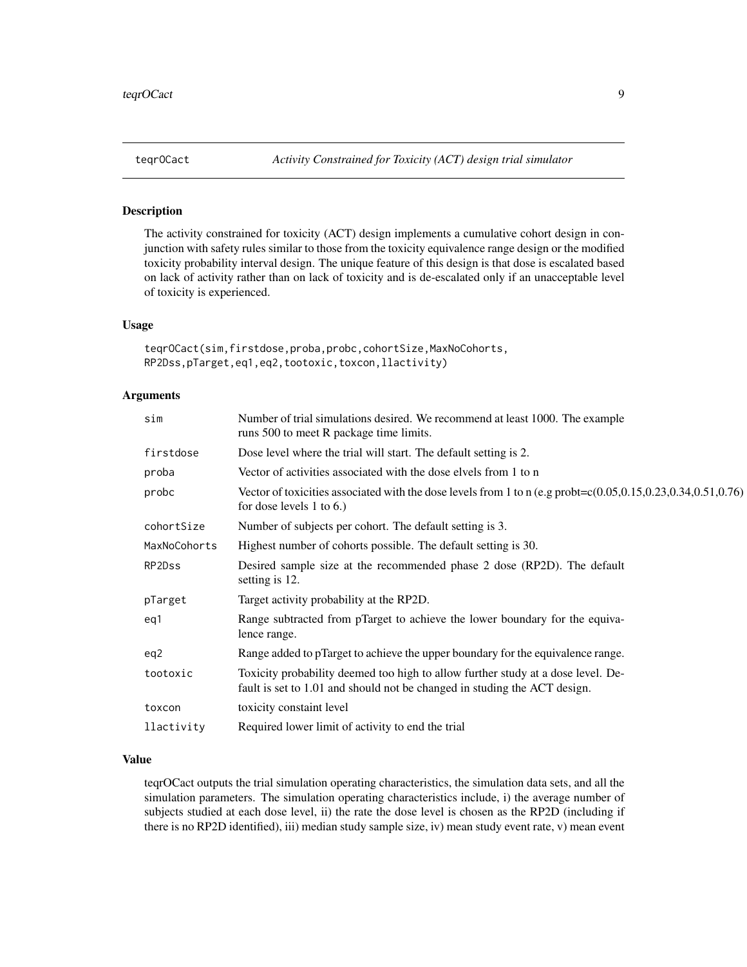#### Description

The activity constrained for toxicity (ACT) design implements a cumulative cohort design in conjunction with safety rules similar to those from the toxicity equivalence range design or the modified toxicity probability interval design. The unique feature of this design is that dose is escalated based on lack of activity rather than on lack of toxicity and is de-escalated only if an unacceptable level of toxicity is experienced.

#### Usage

```
teqrOCact(sim,firstdose,proba,probc,cohortSize,MaxNoCohorts,
RP2Dss,pTarget,eq1,eq2,tootoxic,toxcon,llactivity)
```
#### Arguments

| Number of trial simulations desired. We recommend at least 1000. The example<br>runs 500 to meet R package time limits.                                       |
|---------------------------------------------------------------------------------------------------------------------------------------------------------------|
| Dose level where the trial will start. The default setting is 2.                                                                                              |
| Vector of activities associated with the dose elvels from 1 to n                                                                                              |
| Vector of toxicities associated with the dose levels from 1 to n (e.g probt= $c(0.05, 0.15, 0.23, 0.34, 0.51, 0.76)$ )<br>for dose levels $1$ to $6$ .)       |
| Number of subjects per cohort. The default setting is 3.                                                                                                      |
| Highest number of cohorts possible. The default setting is 30.                                                                                                |
| Desired sample size at the recommended phase 2 dose (RP2D). The default<br>setting is 12.                                                                     |
| Target activity probability at the RP2D.                                                                                                                      |
| Range subtracted from pTarget to achieve the lower boundary for the equiva-<br>lence range.                                                                   |
| Range added to pTarget to achieve the upper boundary for the equivalence range.                                                                               |
| Toxicity probability deemed too high to allow further study at a dose level. De-<br>fault is set to 1.01 and should not be changed in studing the ACT design. |
| toxicity constaint level                                                                                                                                      |
| Required lower limit of activity to end the trial                                                                                                             |
|                                                                                                                                                               |

#### Value

teqrOCact outputs the trial simulation operating characteristics, the simulation data sets, and all the simulation parameters. The simulation operating characteristics include, i) the average number of subjects studied at each dose level, ii) the rate the dose level is chosen as the RP2D (including if there is no RP2D identified), iii) median study sample size, iv) mean study event rate, v) mean event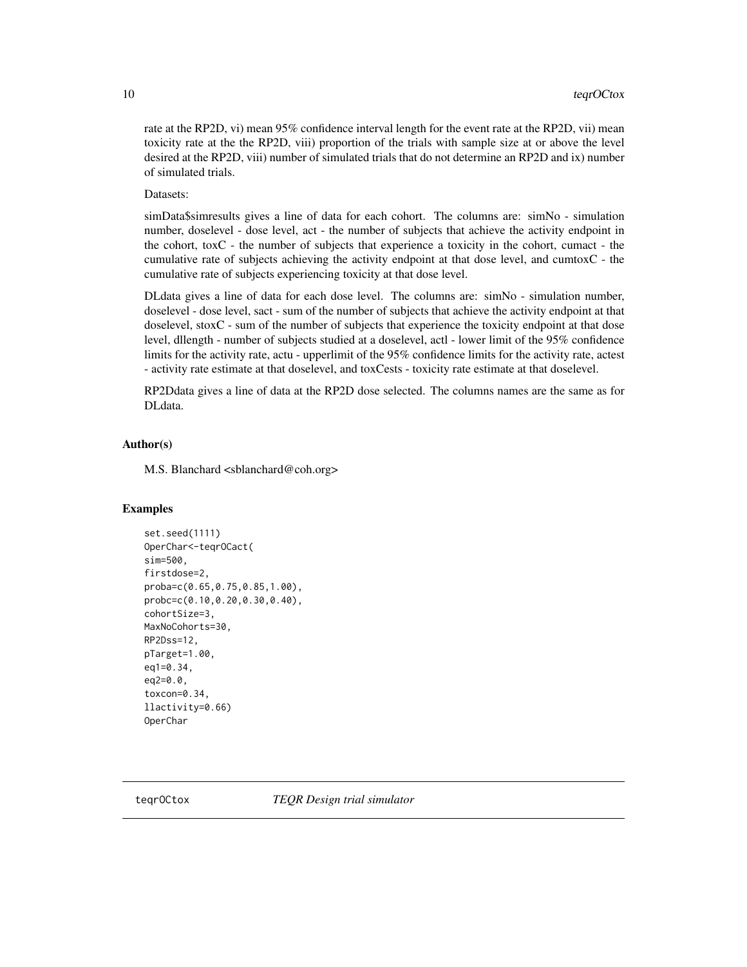<span id="page-9-0"></span>rate at the RP2D, vi) mean 95% confidence interval length for the event rate at the RP2D, vii) mean toxicity rate at the the RP2D, viii) proportion of the trials with sample size at or above the level desired at the RP2D, viii) number of simulated trials that do not determine an RP2D and ix) number of simulated trials.

#### Datasets:

simData\$simresults gives a line of data for each cohort. The columns are: simNo - simulation number, doselevel - dose level, act - the number of subjects that achieve the activity endpoint in the cohort, toxC - the number of subjects that experience a toxicity in the cohort, cumact - the cumulative rate of subjects achieving the activity endpoint at that dose level, and cumtoxC - the cumulative rate of subjects experiencing toxicity at that dose level.

DLdata gives a line of data for each dose level. The columns are: simNo - simulation number, doselevel - dose level, sact - sum of the number of subjects that achieve the activity endpoint at that doselevel, stoxC - sum of the number of subjects that experience the toxicity endpoint at that dose level, dllength - number of subjects studied at a doselevel, actl - lower limit of the 95% confidence limits for the activity rate, actu - upperlimit of the 95% confidence limits for the activity rate, actest - activity rate estimate at that doselevel, and toxCests - toxicity rate estimate at that doselevel.

RP2Ddata gives a line of data at the RP2D dose selected. The columns names are the same as for DLdata.

#### Author(s)

M.S. Blanchard <sblanchard@coh.org>

#### Examples

```
set.seed(1111)
OperChar<-teqrOCact(
sim=500,
firstdose=2,
proba=c(0.65,0.75,0.85,1.00),
probc=c(0.10,0.20,0.30,0.40),
cohortSize=3,
MaxNoCohorts=30,
RP2Dss=12,
pTarget=1.00,
eq1=0.34,
eq2=0.0,
toxcon=0.34,
llactivity=0.66)
OperChar
```
teqrOCtox *TEQR Design trial simulator*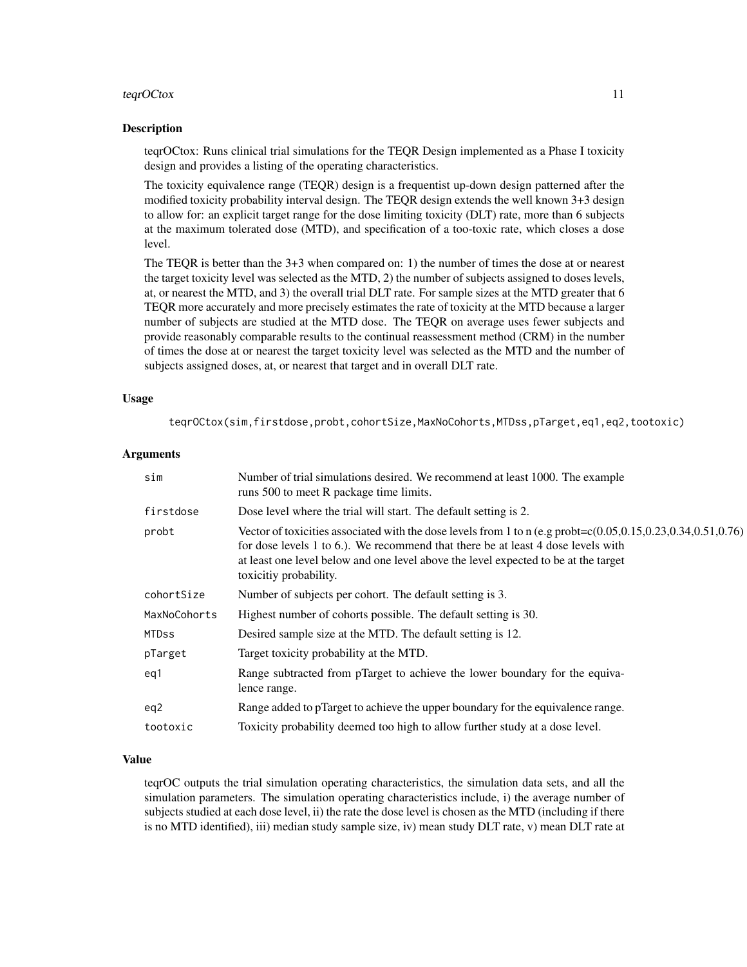#### teqrOCtox 11

#### Description

teqrOCtox: Runs clinical trial simulations for the TEQR Design implemented as a Phase I toxicity design and provides a listing of the operating characteristics.

The toxicity equivalence range (TEQR) design is a frequentist up-down design patterned after the modified toxicity probability interval design. The TEQR design extends the well known 3+3 design to allow for: an explicit target range for the dose limiting toxicity (DLT) rate, more than 6 subjects at the maximum tolerated dose (MTD), and specification of a too-toxic rate, which closes a dose level.

The TEQR is better than the 3+3 when compared on: 1) the number of times the dose at or nearest the target toxicity level was selected as the MTD, 2) the number of subjects assigned to doses levels, at, or nearest the MTD, and 3) the overall trial DLT rate. For sample sizes at the MTD greater that 6 TEQR more accurately and more precisely estimates the rate of toxicity at the MTD because a larger number of subjects are studied at the MTD dose. The TEQR on average uses fewer subjects and provide reasonably comparable results to the continual reassessment method (CRM) in the number of times the dose at or nearest the target toxicity level was selected as the MTD and the number of subjects assigned doses, at, or nearest that target and in overall DLT rate.

#### Usage

teqrOCtox(sim,firstdose,probt,cohortSize,MaxNoCohorts,MTDss,pTarget,eq1,eq2,tootoxic)

#### Arguments

| sim          | Number of trial simulations desired. We recommend at least 1000. The example<br>runs 500 to meet R package time limits.                                                                                                                                                                                                     |
|--------------|-----------------------------------------------------------------------------------------------------------------------------------------------------------------------------------------------------------------------------------------------------------------------------------------------------------------------------|
| firstdose    | Dose level where the trial will start. The default setting is 2.                                                                                                                                                                                                                                                            |
| probt        | Vector of toxicities associated with the dose levels from 1 to n (e.g probt= $c(0.05, 0.15, 0.23, 0.34, 0.51, 0.76)$ )<br>for dose levels 1 to 6.). We recommend that there be at least 4 dose levels with<br>at least one level below and one level above the level expected to be at the target<br>toxicitiy probability. |
| cohortSize   | Number of subjects per cohort. The default setting is 3.                                                                                                                                                                                                                                                                    |
| MaxNoCohorts | Highest number of cohorts possible. The default setting is 30.                                                                                                                                                                                                                                                              |
| <b>MTDss</b> | Desired sample size at the MTD. The default setting is 12.                                                                                                                                                                                                                                                                  |
| pTarget      | Target toxicity probability at the MTD.                                                                                                                                                                                                                                                                                     |
| eg1          | Range subtracted from pTarget to achieve the lower boundary for the equiva-<br>lence range.                                                                                                                                                                                                                                 |
| eq2          | Range added to pTarget to achieve the upper boundary for the equivalence range.                                                                                                                                                                                                                                             |
| tootoxic     | Toxicity probability deemed too high to allow further study at a dose level.                                                                                                                                                                                                                                                |

#### Value

teqrOC outputs the trial simulation operating characteristics, the simulation data sets, and all the simulation parameters. The simulation operating characteristics include, i) the average number of subjects studied at each dose level, ii) the rate the dose level is chosen as the MTD (including if there is no MTD identified), iii) median study sample size, iv) mean study DLT rate, v) mean DLT rate at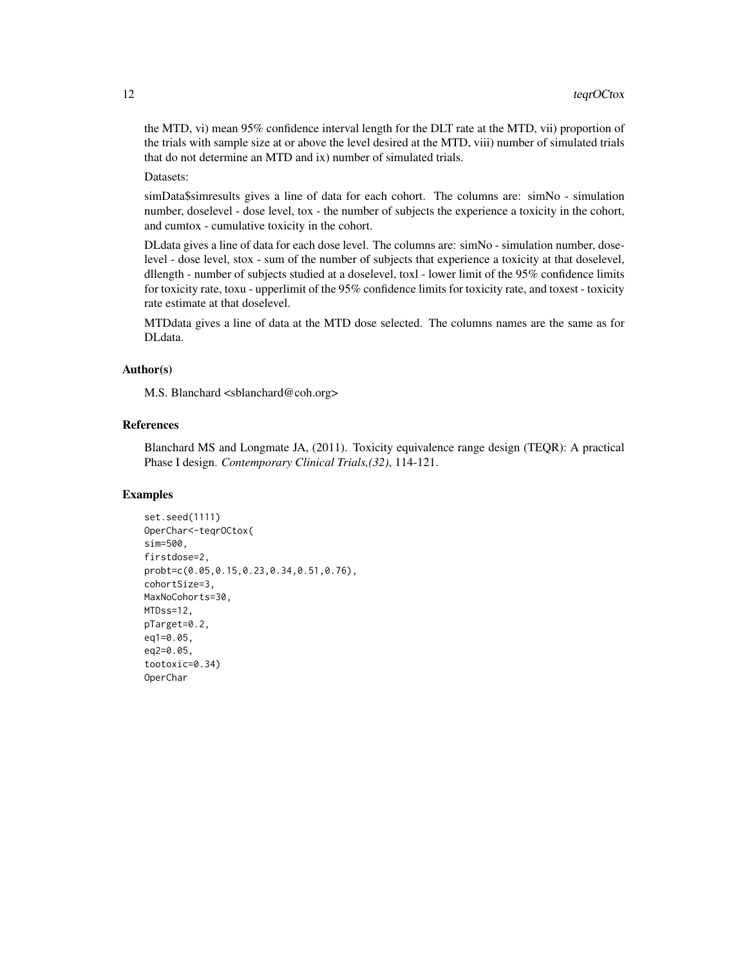the MTD, vi) mean 95% confidence interval length for the DLT rate at the MTD, vii) proportion of the trials with sample size at or above the level desired at the MTD, viii) number of simulated trials that do not determine an MTD and ix) number of simulated trials.

Datasets:

simData\$simresults gives a line of data for each cohort. The columns are: simNo - simulation number, doselevel - dose level, tox - the number of subjects the experience a toxicity in the cohort, and cumtox - cumulative toxicity in the cohort.

DLdata gives a line of data for each dose level. The columns are: simNo - simulation number, doselevel - dose level, stox - sum of the number of subjects that experience a toxicity at that doselevel, dllength - number of subjects studied at a doselevel, toxl - lower limit of the 95% confidence limits for toxicity rate, toxu - upperlimit of the 95% confidence limits for toxicity rate, and toxest - toxicity rate estimate at that doselevel.

MTDdata gives a line of data at the MTD dose selected. The columns names are the same as for DLdata.

#### Author(s)

M.S. Blanchard <sblanchard@coh.org>

#### References

Blanchard MS and Longmate JA, (2011). Toxicity equivalence range design (TEQR): A practical Phase I design. *Contemporary Clinical Trials,(32)*, 114-121.

#### Examples

```
set.seed(1111)
OperChar<-teqrOCtox(
sim=500,
firstdose=2,
probt=c(0.05,0.15,0.23,0.34,0.51,0.76),
cohortSize=3,
MaxNoCohorts=30,
MTDss=12,
pTarget=0.2,
eq1=0.05,
eq2=0.05,
tootoxic=0.34)
OperChar
```